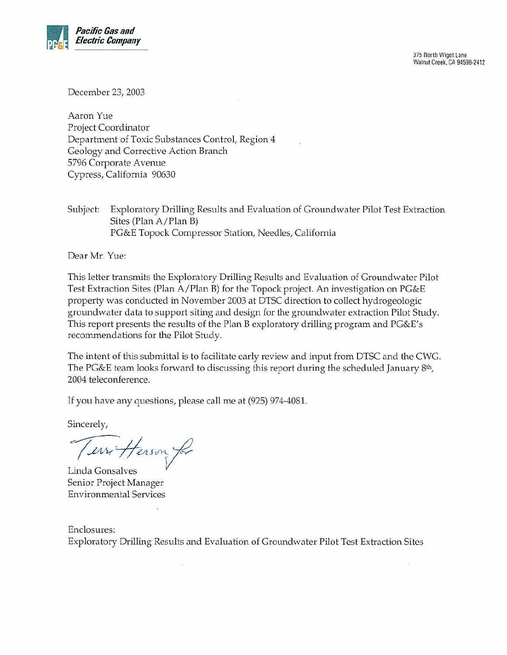

December 23, 2003

Aaron Yue Project Coordinator Department of Toxic Substances Control, Region 4 Geology and Corrective Action Branch 5796 Corporate Avenue Cypress, California 90630

Subject: Exploratory Drilling Results and Evaluation of Groundwater Pilot Test Extraction Sites (Plan A/Plan B) PG&E Topock Compressor Station, Needles, California

Dear Mr. Yue:

This letter transmits the Exploratory Drilling Results and Evaluation of Groundwater Pilot Test Extraction Sites (Plan A/Plan B) for the Topock project. An investigation on PG&E property was conducted in November 2003 at DTSC direction to collect hydrogeologic groundwater data to support siting and design for the groundwater extraction Pilot Study. This report presents the results of the Plan B exploratory drilling program and  $PG\&E's$ recommendations for the Pilot Study.

The intent of this submittal is to facilitate early review and input from DTSC and the CWG. The PG&E team looks forward to discussing this report during the scheduled January 8<sup>th</sup>, 2004 teleconference.

If you have any questions, please call me at (925) 974-4081.

Sincerely,

Terri Herson for

Linda Gonsalves Senior Project Manager Environmental Services

Enclosures: Exploratory Drilling Results and Evaluation of Groundwater Pilot Test Extraction Sites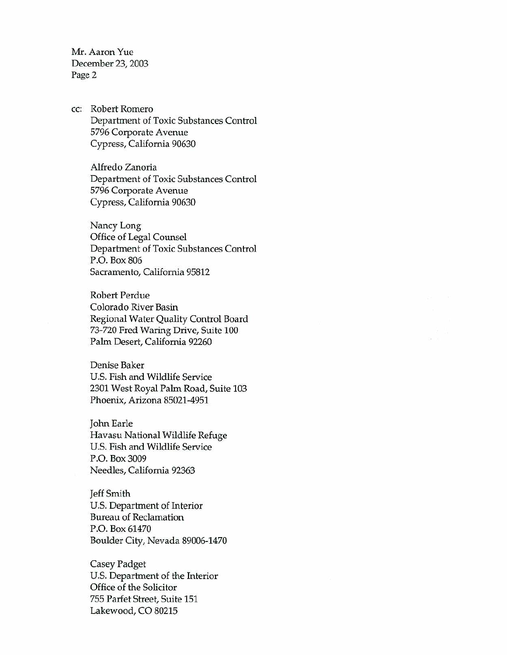Mr. Aaron Yue December 23, 2003 Page 2

cc: Robert Romero Department of Toxic Substances Control 5796 Corporate Avenue Cypress, California 90630

Alfredo Zanoria Department of Toxic Substances Control 5796 Corporate Avenue Cypress, California 90630

Nancy Long Office of Legal Counsel Department of Toxic Substances Control P.O. Box 806 Sacramento, California 95812

Robert Perdue Colorado River Basin Regional Water Quality Control Board 73-720 Fred Waring Drive, Suite 100 Palm Desert, California 92260

Denise Baker U.S. Fish and Wildlife Service 2301 West Royal Palm Road, Suite 103 Phoenix, Arizona 85021-4951

John Earle Havasu National Wildlife Refuge U.S. Fish and Wildlife Service P.O. Box 3009 Needles, California 92363

**Jeff Smith** U.S. Department of Interior **Bureau of Reclamation** P.O. Box 61470 Boulder City, Nevada 89006-1470

**Casey Padget** U.S. Department of the Interior Office of the Solicitor 755 Parfet Street, Suite 151 Lakewood, CO 80215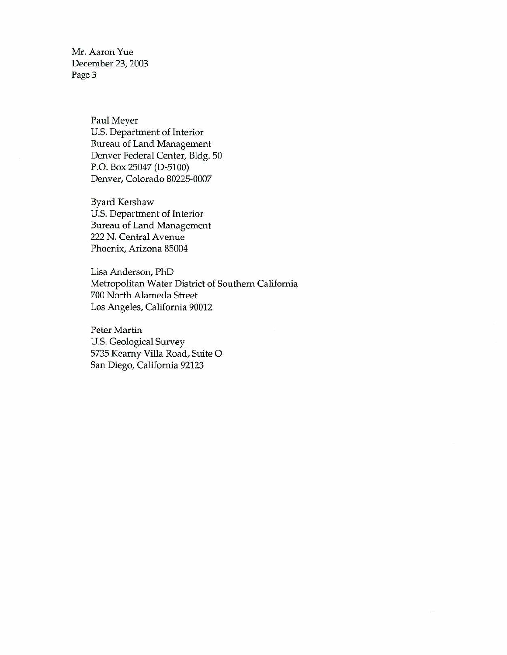Mr. Aaron Yue December 23, 2003 Page 3

> Paul Meyer U.S. Department of Interior **Bureau of Land Management** Denver Federal Center, Bldg. 50 P.O. Box 25047 (D-5100) Denver, Colorado 80225-0007

**Byard Kershaw** U.S. Department of Interior **Bureau of Land Management** 222 N. Central Avenue Phoenix, Arizona 85004

Lisa Anderson, PhD Metropolitan Water District of Southern California 700 North Alameda Street Los Angeles, California 90012

Peter Martin U.S. Geological Survey 5735 Kearny Villa Road, Suite O San Diego, California 92123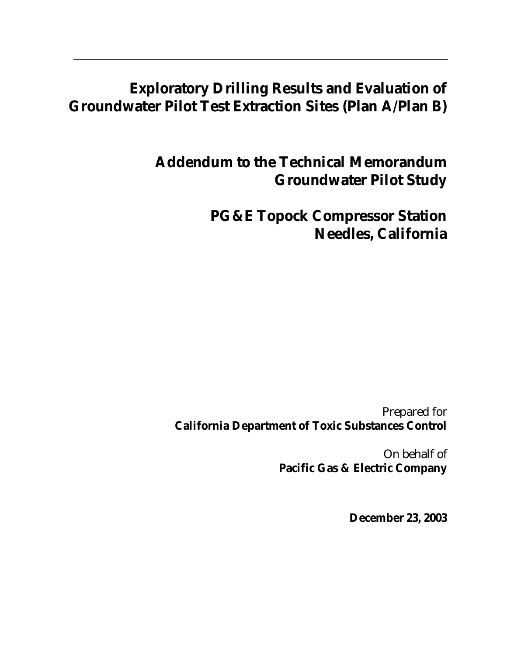# **Exploratory Drilling Results and Evaluation of Groundwater Pilot Test Extraction Sites (Plan A/Plan B)**

# **Addendum to the Technical Memorandum Groundwater Pilot Study**

**PG&E Topock Compressor Station Needles, California**

Prepared for **California Department of Toxic Substances Control**

> On behalf of **Pacific Gas & Electric Company**

> > **December 23, 2003**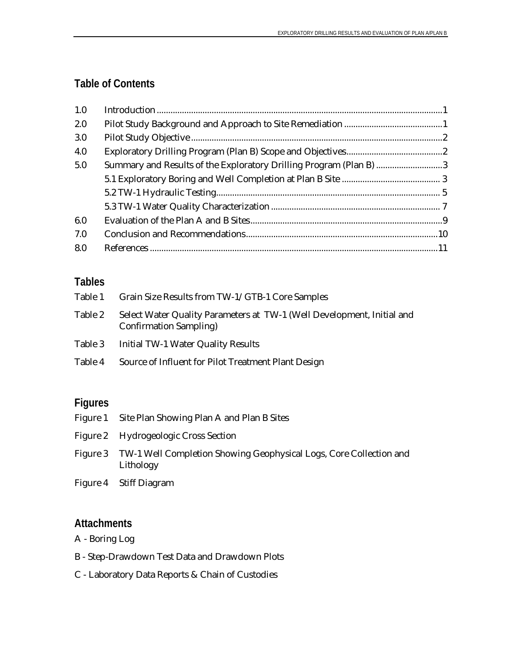### **Table of Contents**

| 1.0 |                                                                    |  |
|-----|--------------------------------------------------------------------|--|
| 2.0 |                                                                    |  |
| 3.0 |                                                                    |  |
| 4.0 |                                                                    |  |
| 5.0 | Summary and Results of the Exploratory Drilling Program (Plan B) 3 |  |
|     |                                                                    |  |
|     |                                                                    |  |
|     |                                                                    |  |
| 6.0 |                                                                    |  |
| 7.0 |                                                                    |  |
| 8.0 |                                                                    |  |
|     |                                                                    |  |

### **Tables**

| Table 1 | Grain Size Results from TW-1/GTB-1 Core Samples                                                          |
|---------|----------------------------------------------------------------------------------------------------------|
| Table 2 | Select Water Quality Parameters at TW-1 (Well Development, Initial and<br><b>Confirmation Sampling</b> ) |
| Table 3 | Initial TW-1 Water Quality Results                                                                       |
| Table 4 | Source of Influent for Pilot Treatment Plant Design                                                      |

# **Figures**

| Figure 1 Site Plan Showing Plan A and Plan B Sites |
|----------------------------------------------------|
| Figure 2 Hydrogeologic Cross Section               |

- Figure 3 TW-1 Well Completion Showing Geophysical Logs, Core Collection and Lithology
- Figure 4 Stiff Diagram

### **Attachments**

- A Boring Log
- B Step-Drawdown Test Data and Drawdown Plots
- C Laboratory Data Reports & Chain of Custodies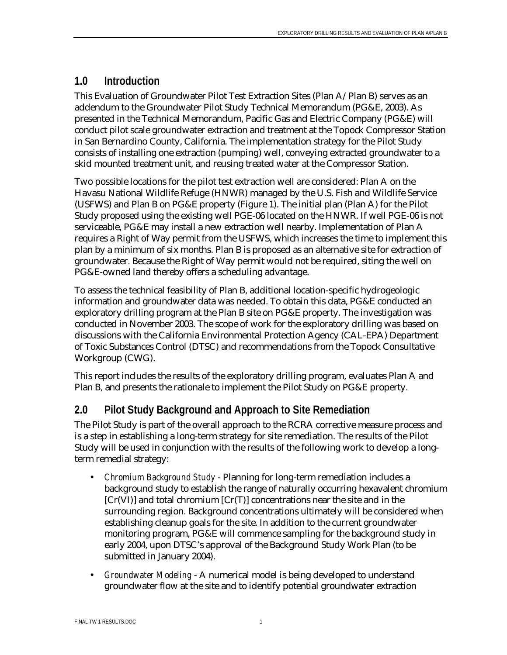### **1.0 Introduction**

This Evaluation of Groundwater Pilot Test Extraction Sites (Plan A/Plan B) serves as an addendum to the Groundwater Pilot Study Technical Memorandum (PG&E, 2003). As presented in the Technical Memorandum, Pacific Gas and Electric Company (PG&E) will conduct pilot scale groundwater extraction and treatment at the Topock Compressor Station in San Bernardino County, California. The implementation strategy for the Pilot Study consists of installing one extraction (pumping) well, conveying extracted groundwater to a skid mounted treatment unit, and reusing treated water at the Compressor Station.

Two possible locations for the pilot test extraction well are considered: Plan A on the Havasu National Wildlife Refuge (HNWR) managed by the U.S. Fish and Wildlife Service (USFWS) and Plan B on PG&E property (Figure 1). The initial plan (Plan A) for the Pilot Study proposed using the existing well PGE-06 located on the HNWR. If well PGE-06 is not serviceable, PG&E may install a new extraction well nearby. Implementation of Plan A requires a Right of Way permit from the USFWS, which increases the time to implement this plan by a minimum of six months. Plan B is proposed as an alternative site for extraction of groundwater. Because the Right of Way permit would not be required, siting the well on PG&E-owned land thereby offers a scheduling advantage.

To assess the technical feasibility of Plan B, additional location-specific hydrogeologic information and groundwater data was needed. To obtain this data, PG&E conducted an exploratory drilling program at the Plan B site on PG&E property. The investigation was conducted in November 2003. The scope of work for the exploratory drilling was based on discussions with the California Environmental Protection Agency (CAL-EPA) Department of Toxic Substances Control (DTSC) and recommendations from the Topock Consultative Workgroup (CWG).

This report includes the results of the exploratory drilling program, evaluates Plan A and Plan B, and presents the rationale to implement the Pilot Study on PG&E property.

## **2.0 Pilot Study Background and Approach to Site Remediation**

The Pilot Study is part of the overall approach to the RCRA corrective measure process and is a step in establishing a long-term strategy for site remediation. The results of the Pilot Study will be used in conjunction with the results of the following work to develop a longterm remedial strategy:

- *Chromium Background Study* Planning for long-term remediation includes a background study to establish the range of naturally occurring hexavalent chromium [Cr(VI)] and total chromium [Cr(T)] concentrations near the site and in the surrounding region. Background concentrations ultimately will be considered when establishing cleanup goals for the site. In addition to the current groundwater monitoring program, PG&E will commence sampling for the background study in early 2004, upon DTSC's approval of the Background Study Work Plan (to be submitted in January 2004).
- *Groundwater Modeling* A numerical model is being developed to understand groundwater flow at the site and to identify potential groundwater extraction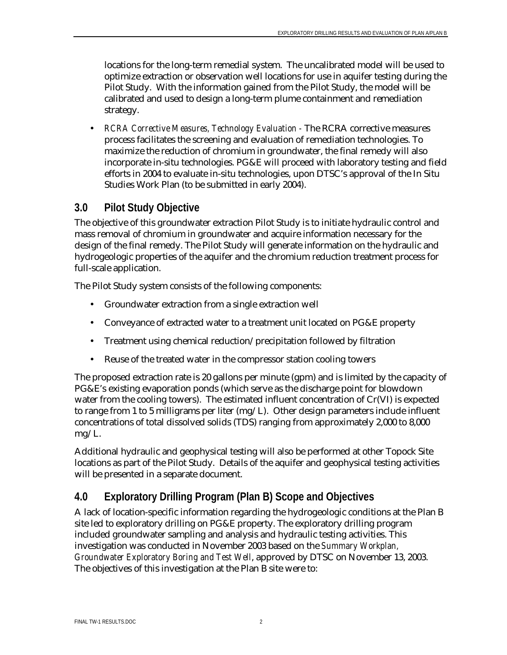locations for the long-term remedial system. The uncalibrated model will be used to optimize extraction or observation well locations for use in aquifer testing during the Pilot Study. With the information gained from the Pilot Study, the model will be calibrated and used to design a long-term plume containment and remediation strategy.

• *RCRA Corrective Measures, Technology Evaluation* - The RCRA corrective measures process facilitates the screening and evaluation of remediation technologies. To maximize the reduction of chromium in groundwater, the final remedy will also incorporate in-situ technologies. PG&E will proceed with laboratory testing and field efforts in 2004 to evaluate in-situ technologies, upon DTSC's approval of the In Situ Studies Work Plan (to be submitted in early 2004).

### **3.0 Pilot Study Objective**

The objective of this groundwater extraction Pilot Study is to initiate hydraulic control and mass removal of chromium in groundwater and acquire information necessary for the design of the final remedy. The Pilot Study will generate information on the hydraulic and hydrogeologic properties of the aquifer and the chromium reduction treatment process for full-scale application.

The Pilot Study system consists of the following components:

- Groundwater extraction from a single extraction well
- Conveyance of extracted water to a treatment unit located on PG&E property
- Treatment using chemical reduction/precipitation followed by filtration
- Reuse of the treated water in the compressor station cooling towers

The proposed extraction rate is 20 gallons per minute (gpm) and is limited by the capacity of PG&E's existing evaporation ponds (which serve as the discharge point for blowdown water from the cooling towers). The estimated influent concentration of Cr(VI) is expected to range from 1 to 5 milligrams per liter (mg/L). Other design parameters include influent concentrations of total dissolved solids (TDS) ranging from approximately 2,000 to 8,000 mg/L.

Additional hydraulic and geophysical testing will also be performed at other Topock Site locations as part of the Pilot Study. Details of the aquifer and geophysical testing activities will be presented in a separate document.

## **4.0 Exploratory Drilling Program (Plan B) Scope and Objectives**

A lack of location-specific information regarding the hydrogeologic conditions at the Plan B site led to exploratory drilling on PG&E property. The exploratory drilling program included groundwater sampling and analysis and hydraulic testing activities. This investigation was conducted in November 2003 based on the *Summary Workplan, Groundwater Exploratory Boring and Test Well*, approved by DTSC on November 13, 2003. The objectives of this investigation at the Plan B site were to: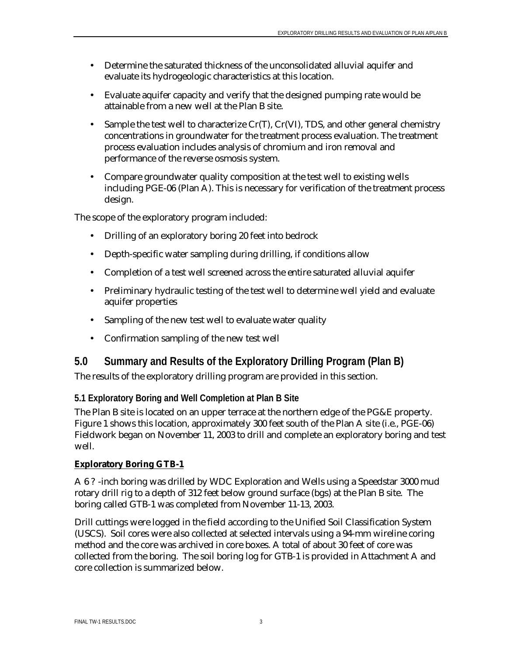- Determine the saturated thickness of the unconsolidated alluvial aquifer and evaluate its hydrogeologic characteristics at this location.
- Evaluate aquifer capacity and verify that the designed pumping rate would be attainable from a new well at the Plan B site.
- Sample the test well to characterize  $Cr(T)$ ,  $Cr(VI)$ , TDS, and other general chemistry concentrations in groundwater for the treatment process evaluation. The treatment process evaluation includes analysis of chromium and iron removal and performance of the reverse osmosis system.
- Compare groundwater quality composition at the test well to existing wells including PGE-06 (Plan A). This is necessary for verification of the treatment process design.

The scope of the exploratory program included:

- Drilling of an exploratory boring 20 feet into bedrock
- Depth-specific water sampling during drilling, if conditions allow
- Completion of a test well screened across the entire saturated alluvial aquifer
- Preliminary hydraulic testing of the test well to determine well yield and evaluate aquifer properties
- Sampling of the new test well to evaluate water quality
- Confirmation sampling of the new test well

### **5.0 Summary and Results of the Exploratory Drilling Program (Plan B)**

The results of the exploratory drilling program are provided in this section.

### **5.1 Exploratory Boring and Well Completion at Plan B Site**

The Plan B site is located on an upper terrace at the northern edge of the PG&E property. Figure 1 shows this location, approximately 300 feet south of the Plan A site (i.e., PGE-06) Fieldwork began on November 11, 2003 to drill and complete an exploratory boring and test well.

### **Exploratory Boring GTB-1**

A 6 ? -inch boring was drilled by WDC Exploration and Wells using a Speedstar 3000 mud rotary drill rig to a depth of 312 feet below ground surface (bgs) at the Plan B site. The boring called GTB-1 was completed from November 11-13, 2003.

Drill cuttings were logged in the field according to the Unified Soil Classification System (USCS). Soil cores were also collected at selected intervals using a 94-mm wireline coring method and the core was archived in core boxes. A total of about 30 feet of core was collected from the boring. The soil boring log for GTB-1 is provided in Attachment A and core collection is summarized below.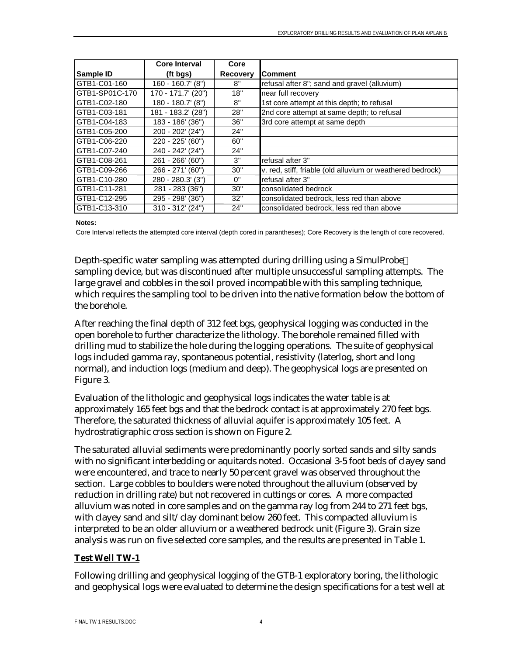|                | <b>Core Interval</b> | Core            |                                                            |
|----------------|----------------------|-----------------|------------------------------------------------------------|
| Sample ID      | (ft bgs)             | <b>Recovery</b> | <b>Comment</b>                                             |
| GTB1-C01-160   | $160 - 160.7' (8")$  | 8"              | refusal after 8"; sand and gravel (alluvium)               |
| GTB1-SP01C-170 | 170 - 171.7' (20")   | 18"             | near full recovery                                         |
| GTB1-C02-180   | 180 - 180.7' (8")    | 8"              | 1st core attempt at this depth; to refusal                 |
| GTB1-C03-181   | 181 - 183.2' (28")   | 28"             | 2nd core attempt at same depth; to refusal                 |
| GTB1-C04-183   | 183 - 186' (36")     | 36"             | 3rd core attempt at same depth                             |
| GTB1-C05-200   | 200 - 202' (24")     | 24"             |                                                            |
| GTB1-C06-220   | 220 - 225' (60")     | 60"             |                                                            |
| GTB1-C07-240   | 240 - 242' (24")     | 24"             |                                                            |
| GTB1-C08-261   | 261 - 266' (60")     | 3"              | refusal after 3"                                           |
| GTB1-C09-266   | 266 - 271' (60")     | 30"             | v. red, stiff, friable (old alluvium or weathered bedrock) |
| GTB1-C10-280   | 280 - 280.3' (3")    | 0"              | refusal after 3"                                           |
| GTB1-C11-281   | 281 - 283 (36")      | 30"             | consolidated bedrock                                       |
| GTB1-C12-295   | 295 - 298' (36")     | 32"             | consolidated bedrock, less red than above                  |
| GTB1-C13-310   | 310 - 312' (24")     | 24"             | consolidated bedrock, less red than above                  |

#### **Notes:**

Core Interval reflects the attempted core interval (depth cored in parantheses); Core Recovery is the length of core recovered.

Depth-specific water sampling was attempted during drilling using a SimulProbe sampling device, but was discontinued after multiple unsuccessful sampling attempts. The large gravel and cobbles in the soil proved incompatible with this sampling technique, which requires the sampling tool to be driven into the native formation below the bottom of the borehole.

After reaching the final depth of 312 feet bgs, geophysical logging was conducted in the open borehole to further characterize the lithology. The borehole remained filled with drilling mud to stabilize the hole during the logging operations. The suite of geophysical logs included gamma ray, spontaneous potential, resistivity (laterlog, short and long normal), and induction logs (medium and deep). The geophysical logs are presented on Figure 3.

Evaluation of the lithologic and geophysical logs indicates the water table is at approximately 165 feet bgs and that the bedrock contact is at approximately 270 feet bgs. Therefore, the saturated thickness of alluvial aquifer is approximately 105 feet. A hydrostratigraphic cross section is shown on Figure 2.

The saturated alluvial sediments were predominantly poorly sorted sands and silty sands with no significant interbedding or aquitards noted. Occasional 3-5 foot beds of clayey sand were encountered, and trace to nearly 50 percent gravel was observed throughout the section. Large cobbles to boulders were noted throughout the alluvium (observed by reduction in drilling rate) but not recovered in cuttings or cores. A more compacted alluvium was noted in core samples and on the gamma ray log from 244 to 271 feet bgs, with clayey sand and silt/clay dominant below 260 feet. This compacted alluvium is interpreted to be an older alluvium or a weathered bedrock unit (Figure 3). Grain size analysis was run on five selected core samples, and the results are presented in Table 1.

### **Test Well TW-1**

Following drilling and geophysical logging of the GTB-1 exploratory boring, the lithologic and geophysical logs were evaluated to determine the design specifications for a test well at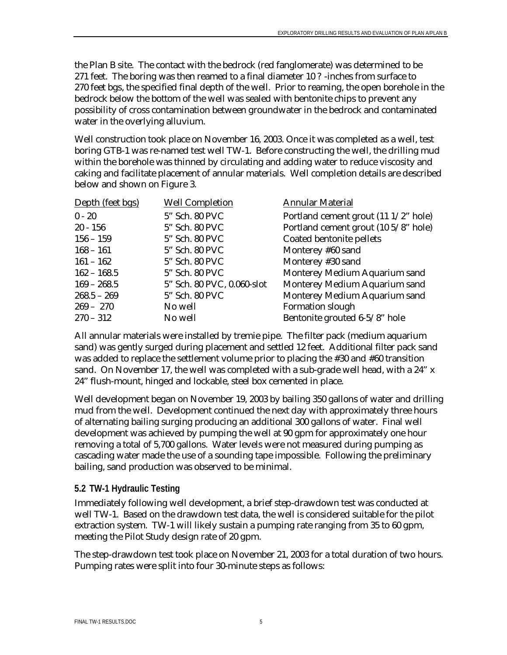the Plan B site. The contact with the bedrock (red fanglomerate) was determined to be 271 feet. The boring was then reamed to a final diameter 10 ? -inches from surface to 270 feet bgs, the specified final depth of the well. Prior to reaming, the open borehole in the bedrock below the bottom of the well was sealed with bentonite chips to prevent any possibility of cross contamination between groundwater in the bedrock and contaminated water in the overlying alluvium.

Well construction took place on November 16, 2003. Once it was completed as a well, test boring GTB-1 was re-named test well TW-1. Before constructing the well, the drilling mud within the borehole was thinned by circulating and adding water to reduce viscosity and caking and facilitate placement of annular materials. Well completion details are described below and shown on Figure 3.

| Depth (feet bgs) | <b>Well Completion</b>     | <b>Annular Material</b>                        |
|------------------|----------------------------|------------------------------------------------|
| $0 - 20$         | 5" Sch. 80 PVC             | Portland cement grout $(11 \frac{1}{2})$ hole) |
| $20 - 156$       | 5" Sch. 80 PVC             | Portland cement grout (10 5/8" hole)           |
| $156 - 159$      | 5" Sch. 80 PVC             | Coated bentonite pellets                       |
| $168 - 161$      | 5" Sch. 80 PVC             | Monterey #60 sand                              |
| $161 - 162$      | 5" Sch. 80 PVC             | Monterey #30 sand                              |
| $162 - 168.5$    | 5" Sch. 80 PVC             | Monterey Medium Aquarium sand                  |
| $169 - 268.5$    | 5" Sch. 80 PVC, 0.060-slot | Monterey Medium Aquarium sand                  |
| $268.5 - 269$    | 5" Sch. 80 PVC             | Monterey Medium Aquarium sand                  |
| $269 - 270$      | No well                    | Formation slough                               |
| $270 - 312$      | No well                    | Bentonite grouted 6-5/8" hole                  |

All annular materials were installed by tremie pipe. The filter pack (medium aquarium sand) was gently surged during placement and settled 12 feet. Additional filter pack sand was added to replace the settlement volume prior to placing the #30 and #60 transition sand. On November 17, the well was completed with a sub-grade well head, with a 24" x 24" flush-mount, hinged and lockable, steel box cemented in place.

Well development began on November 19, 2003 by bailing 350 gallons of water and drilling mud from the well. Development continued the next day with approximately three hours of alternating bailing surging producing an additional 300 gallons of water. Final well development was achieved by pumping the well at 90 gpm for approximately one hour removing a total of 5,700 gallons. Water levels were not measured during pumping as cascading water made the use of a sounding tape impossible. Following the preliminary bailing, sand production was observed to be minimal.

### **5.2 TW-1 Hydraulic Testing**

Immediately following well development, a brief step-drawdown test was conducted at well TW-1. Based on the drawdown test data, the well is considered suitable for the pilot extraction system. TW-1 will likely sustain a pumping rate ranging from 35 to 60 gpm, meeting the Pilot Study design rate of 20 gpm.

The step-drawdown test took place on November 21, 2003 for a total duration of two hours. Pumping rates were split into four 30-minute steps as follows: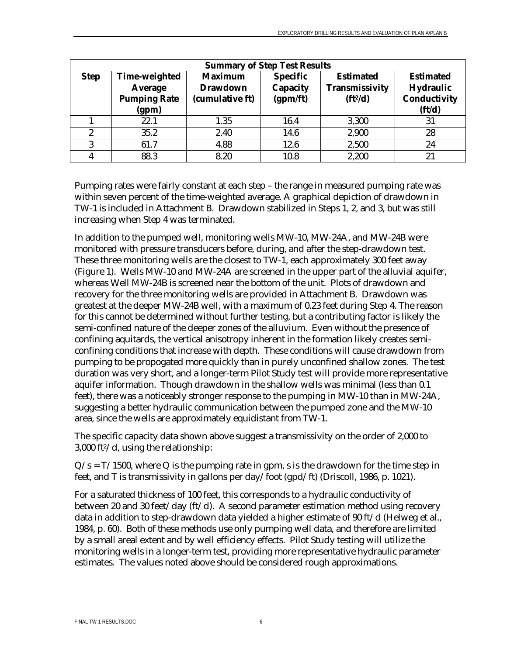| <b>Summary of Step Test Results</b> |                                                                        |                                                      |                                                |                                                  |                                                                               |  |  |  |  |
|-------------------------------------|------------------------------------------------------------------------|------------------------------------------------------|------------------------------------------------|--------------------------------------------------|-------------------------------------------------------------------------------|--|--|--|--|
| <b>Step</b>                         | <b>Time-weighted</b><br><b>Average</b><br><b>Pumping Rate</b><br>(gpm) | <b>Maximum</b><br><b>Drawdown</b><br>(cumulative ft) | <b>Specific</b><br><b>Capacity</b><br>(gpm/ft) | <b>Estimated</b><br>Transmissivity<br>$(ft^2/d)$ | <b>Estimated</b><br><b>Hydraulic</b><br><b>Conductivity</b><br>$({\bf ft/d})$ |  |  |  |  |
|                                     | 22.1                                                                   | 1.35                                                 | 16.4                                           | 3,300                                            | 31                                                                            |  |  |  |  |
|                                     | 35.2                                                                   | 2.40                                                 | 14.6                                           | 2,900                                            | 28                                                                            |  |  |  |  |
|                                     | 61.7                                                                   | 4.88                                                 | 12.6                                           | 2,500                                            | 24                                                                            |  |  |  |  |
|                                     | 88.3                                                                   | 8.20                                                 | 10.8                                           | 2,200                                            | 21                                                                            |  |  |  |  |

Pumping rates were fairly constant at each step – the range in measured pumping rate was within seven percent of the time-weighted average. A graphical depiction of drawdown in TW-1 is included in Attachment B. Drawdown stabilized in Steps 1, 2, and 3, but was still increasing when Step 4 was terminated.

In addition to the pumped well, monitoring wells MW-10, MW-24A, and MW-24B were monitored with pressure transducers before, during, and after the step-drawdown test. These three monitoring wells are the closest to TW-1, each approximately 300 feet away (Figure 1). Wells MW-10 and MW-24A are screened in the upper part of the alluvial aquifer, whereas Well MW-24B is screened near the bottom of the unit. Plots of drawdown and recovery for the three monitoring wells are provided in Attachment B. Drawdown was greatest at the deeper MW-24B well, with a maximum of 0.23 feet during Step 4. The reason for this cannot be determined without further testing, but a contributing factor is likely the semi-confined nature of the deeper zones of the alluvium. Even without the presence of confining aquitards, the vertical anisotropy inherent in the formation likely creates semiconfining conditions that increase with depth. These conditions will cause drawdown from pumping to be propogated more quickly than in purely unconfined shallow zones. The test duration was very short, and a longer-term Pilot Study test will provide more representative aquifer information. Though drawdown in the shallow wells was minimal (less than 0.1 feet), there was a noticeably stronger response to the pumping in MW-10 than in MW-24A, suggesting a better hydraulic communication between the pumped zone and the MW-10 area, since the wells are approximately equidistant from TW-1.

The specific capacity data shown above suggest a transmissivity on the order of 2,000 to 3,000 ft $2$ /d, using the relationship:

 $Q/s = T/1500$ , where Q is the pumping rate in gpm, s is the drawdown for the time step in feet, and T is transmissivity in gallons per day/foot (gpd/ft) (Driscoll, 1986, p. 1021).

For a saturated thickness of 100 feet, this corresponds to a hydraulic conductivity of between 20 and 30 feet/day (ft/d). A second parameter estimation method using recovery data in addition to step-drawdown data yielded a higher estimate of 90 ft/d (Helweg et al., 1984, p. 60). Both of these methods use only pumping well data, and therefore are limited by a small areal extent and by well efficiency effects. Pilot Study testing will utilize the monitoring wells in a longer-term test, providing more representative hydraulic parameter estimates. The values noted above should be considered rough approximations.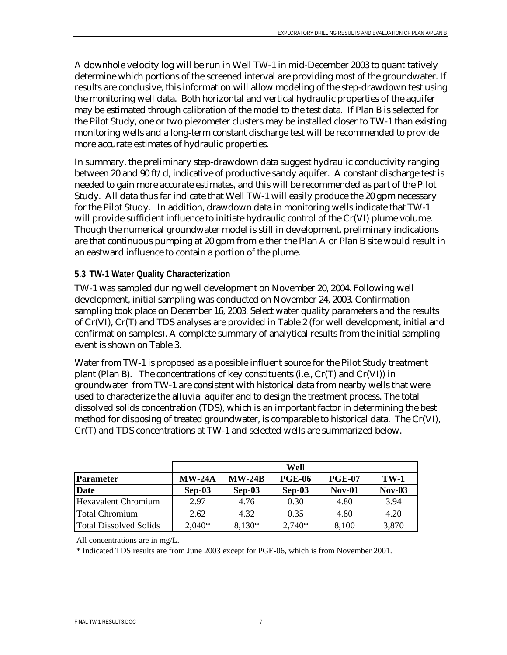A downhole velocity log will be run in Well TW-1 in mid-December 2003 to quantitatively determine which portions of the screened interval are providing most of the groundwater. If results are conclusive, this information will allow modeling of the step-drawdown test using the monitoring well data. Both horizontal and vertical hydraulic properties of the aquifer may be estimated through calibration of the model to the test data. If Plan B is selected for the Pilot Study, one or two piezometer clusters may be installed closer to TW-1 than existing monitoring wells and a long-term constant discharge test will be recommended to provide more accurate estimates of hydraulic properties.

In summary, the preliminary step-drawdown data suggest hydraulic conductivity ranging between 20 and 90 ft/d, indicative of productive sandy aquifer. A constant discharge test is needed to gain more accurate estimates, and this will be recommended as part of the Pilot Study. All data thus far indicate that Well TW-1 will easily produce the 20 gpm necessary for the Pilot Study. In addition, drawdown data in monitoring wells indicate that TW-1 will provide sufficient influence to initiate hydraulic control of the Cr(VI) plume volume. Though the numerical groundwater model is still in development, preliminary indications are that continuous pumping at 20 gpm from either the Plan A or Plan B site would result in an eastward influence to contain a portion of the plume.

### **5.3 TW-1 Water Quality Characterization**

TW-1 was sampled during well development on November 20, 2004. Following well development, initial sampling was conducted on November 24, 2003. Confirmation sampling took place on December 16, 2003. Select water quality parameters and the results of Cr(VI), Cr(T) and TDS analyses are provided in Table 2 (for well development, initial and confirmation samples). A complete summary of analytical results from the initial sampling event is shown on Table 3.

Water from TW-1 is proposed as a possible influent source for the Pilot Study treatment plant (Plan B). The concentrations of key constituents (i.e., Cr(T) and Cr(VI)) in groundwater from TW-1 are consistent with historical data from nearby wells that were used to characterize the alluvial aquifer and to design the treatment process. The total dissolved solids concentration (TDS), which is an important factor in determining the best method for disposing of treated groundwater, is comparable to historical data. The Cr(VI), Cr(T) and TDS concentrations at TW-1 and selected wells are summarized below.

|                               |          |          | Well          |               |          |
|-------------------------------|----------|----------|---------------|---------------|----------|
| Parameter                     | $MW-24A$ | $MW-24B$ | <b>PGE-06</b> | <b>PGE-07</b> | TW-1     |
| <b>Date</b>                   | $Sep-03$ | $Sep-03$ | $Sep-03$      | <b>Nov-01</b> | $Nov-03$ |
| <b>Hexavalent Chromium</b>    | 2.97     | 4.76     | 0.30          | 4.80          | 3.94     |
| Total Chromium                | 2.62     | 4.32     | 0.35          | 4.80          | 4.20     |
| <b>Total Dissolved Solids</b> | $2,040*$ | $8,130*$ | $2,740*$      | 8,100         | 3,870    |

All concentrations are in mg/L.

\* Indicated TDS results are from June 2003 except for PGE-06, which is from November 2001.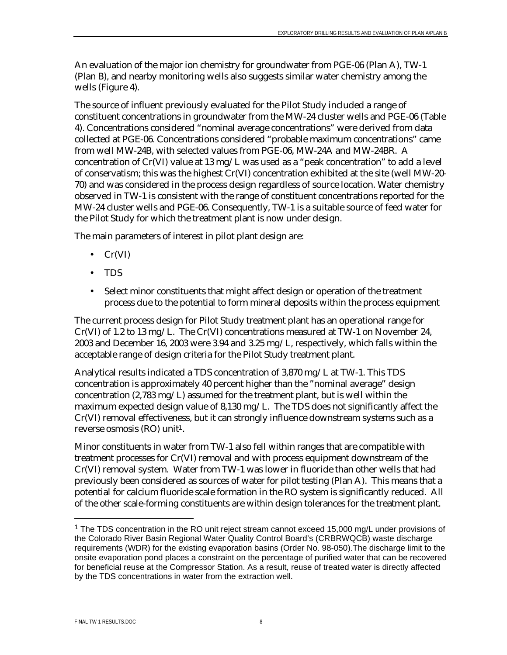An evaluation of the major ion chemistry for groundwater from PGE-06 (Plan A), TW-1 (Plan B), and nearby monitoring wells also suggests similar water chemistry among the wells (Figure 4).

The source of influent previously evaluated for the Pilot Study included a range of constituent concentrations in groundwater from the MW-24 cluster wells and PGE-06 (Table 4). Concentrations considered "nominal average concentrations" were derived from data collected at PGE-06. Concentrations considered "probable maximum concentrations" came from well MW-24B, with selected values from PGE-06, MW-24A and MW-24BR. A concentration of Cr(VI) value at 13 mg/L was used as a "peak concentration" to add a level of conservatism; this was the highest Cr(VI) concentration exhibited at the site (well MW-20- 70) and was considered in the process design regardless of source location. Water chemistry observed in TW-1 is consistent with the range of constituent concentrations reported for the MW-24 cluster wells and PGE-06. Consequently, TW-1 is a suitable source of feed water for the Pilot Study for which the treatment plant is now under design.

The main parameters of interest in pilot plant design are:

- Cr(VI)
- TDS
- Select minor constituents that might affect design or operation of the treatment process due to the potential to form mineral deposits within the process equipment

The current process design for Pilot Study treatment plant has an operational range for Cr(VI) of 1.2 to 13 mg/L. The Cr(VI) concentrations measured at TW-1 on November 24, 2003 and December 16, 2003 were 3.94 and 3.25 mg/L, respectively, which falls within the acceptable range of design criteria for the Pilot Study treatment plant.

Analytical results indicated a TDS concentration of 3,870 mg/L at TW-1. This TDS concentration is approximately 40 percent higher than the "nominal average" design concentration (2,783 mg/L) assumed for the treatment plant, but is well within the maximum expected design value of 8,130 mg/L. The TDS does not significantly affect the Cr(VI) removal effectiveness, but it can strongly influence downstream systems such as a reverse osmosis (RO) unit<sup>1</sup>.

Minor constituents in water from TW-1 also fell within ranges that are compatible with treatment processes for Cr(VI) removal and with process equipment downstream of the Cr(VI) removal system. Water from TW-1 was lower in fluoride than other wells that had previously been considered as sources of water for pilot testing (Plan A). This means that a potential for calcium fluoride scale formation in the RO system is significantly reduced. All of the other scale-forming constituents are within design tolerances for the treatment plant.

-

<sup>&</sup>lt;sup>1</sup> The TDS concentration in the RO unit reject stream cannot exceed 15,000 mg/L under provisions of the Colorado River Basin Regional Water Quality Control Board's (CRBRWQCB) waste discharge requirements (WDR) for the existing evaporation basins (Order No. 98-050).The discharge limit to the onsite evaporation pond places a constraint on the percentage of purified water that can be recovered for beneficial reuse at the Compressor Station. As a result, reuse of treated water is directly affected by the TDS concentrations in water from the extraction well.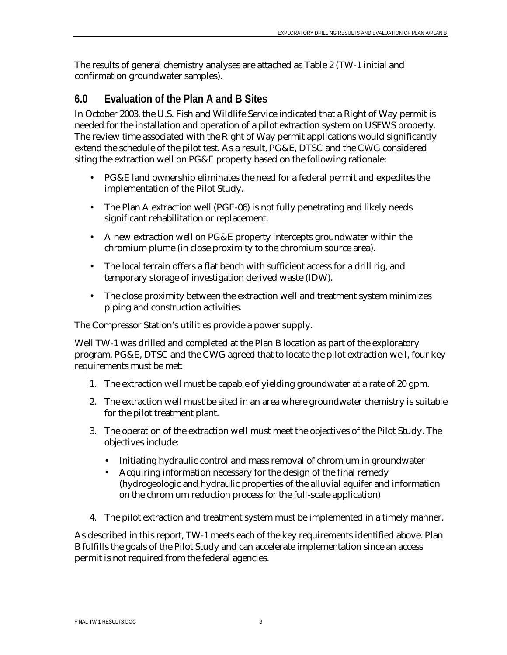The results of general chemistry analyses are attached as Table 2 (TW-1 initial and confirmation groundwater samples).

# **6.0 Evaluation of the Plan A and B Sites**

In October 2003, the U.S. Fish and Wildlife Service indicated that a Right of Way permit is needed for the installation and operation of a pilot extraction system on USFWS property. The review time associated with the Right of Way permit applications would significantly extend the schedule of the pilot test. As a result, PG&E, DTSC and the CWG considered siting the extraction well on PG&E property based on the following rationale:

- PG&E land ownership eliminates the need for a federal permit and expedites the implementation of the Pilot Study.
- The Plan A extraction well (PGE-06) is not fully penetrating and likely needs significant rehabilitation or replacement.
- A new extraction well on PG&E property intercepts groundwater within the chromium plume (in close proximity to the chromium source area).
- The local terrain offers a flat bench with sufficient access for a drill rig, and temporary storage of investigation derived waste (IDW).
- The close proximity between the extraction well and treatment system minimizes piping and construction activities.

The Compressor Station's utilities provide a power supply.

Well TW-1 was drilled and completed at the Plan B location as part of the exploratory program. PG&E, DTSC and the CWG agreed that to locate the pilot extraction well, four key requirements must be met:

- 1. The extraction well must be capable of yielding groundwater at a rate of 20 gpm.
- 2. The extraction well must be sited in an area where groundwater chemistry is suitable for the pilot treatment plant.
- 3. The operation of the extraction well must meet the objectives of the Pilot Study. The objectives include:
	- Initiating hydraulic control and mass removal of chromium in groundwater
	- Acquiring information necessary for the design of the final remedy (hydrogeologic and hydraulic properties of the alluvial aquifer and information on the chromium reduction process for the full-scale application)
- 4. The pilot extraction and treatment system must be implemented in a timely manner.

As described in this report, TW-1 meets each of the key requirements identified above. Plan B fulfills the goals of the Pilot Study and can accelerate implementation since an access permit is not required from the federal agencies.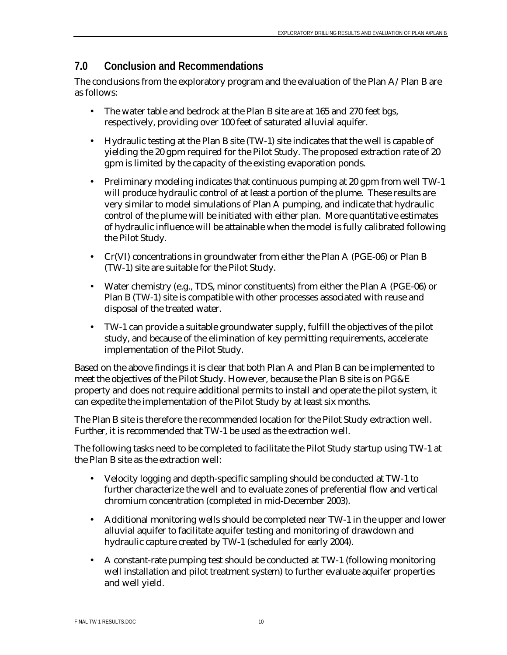### **7.0 Conclusion and Recommendations**

The conclusions from the exploratory program and the evaluation of the Plan A/Plan B are as follows:

- The water table and bedrock at the Plan B site are at 165 and 270 feet bgs, respectively, providing over 100 feet of saturated alluvial aquifer.
- Hydraulic testing at the Plan B site (TW-1) site indicates that the well is capable of yielding the 20 gpm required for the Pilot Study. The proposed extraction rate of 20 gpm is limited by the capacity of the existing evaporation ponds.
- Preliminary modeling indicates that continuous pumping at 20 gpm from well TW-1 will produce hydraulic control of at least a portion of the plume. These results are very similar to model simulations of Plan A pumping, and indicate that hydraulic control of the plume will be initiated with either plan. More quantitative estimates of hydraulic influence will be attainable when the model is fully calibrated following the Pilot Study.
- Cr(VI) concentrations in groundwater from either the Plan A (PGE-06) or Plan B (TW-1) site are suitable for the Pilot Study.
- Water chemistry (e.g., TDS, minor constituents) from either the Plan A (PGE-06) or Plan B (TW-1) site is compatible with other processes associated with reuse and disposal of the treated water.
- TW-1 can provide a suitable groundwater supply, fulfill the objectives of the pilot study, and because of the elimination of key permitting requirements, accelerate implementation of the Pilot Study.

Based on the above findings it is clear that both Plan A and Plan B can be implemented to meet the objectives of the Pilot Study. However, because the Plan B site is on PG&E property and does not require additional permits to install and operate the pilot system, it can expedite the implementation of the Pilot Study by at least six months.

The Plan B site is therefore the recommended location for the Pilot Study extraction well. Further, it is recommended that TW-1 be used as the extraction well.

The following tasks need to be completed to facilitate the Pilot Study startup using TW-1 at the Plan B site as the extraction well:

- Velocity logging and depth-specific sampling should be conducted at TW-1 to further characterize the well and to evaluate zones of preferential flow and vertical chromium concentration (completed in mid-December 2003).
- Additional monitoring wells should be completed near TW-1 in the upper and lower alluvial aquifer to facilitate aquifer testing and monitoring of drawdown and hydraulic capture created by TW-1 (scheduled for early 2004).
- A constant-rate pumping test should be conducted at TW-1 (following monitoring well installation and pilot treatment system) to further evaluate aquifer properties and well yield.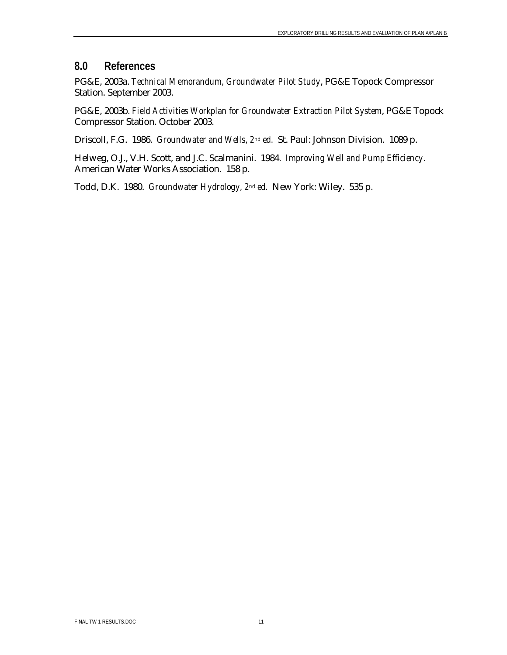### **8.0 References**

PG&E, 2003a. *Technical Memorandum, Groundwater Pilot Study*, PG&E Topock Compressor Station. September 2003.

PG&E, 2003b. *Field Activities Workplan for Groundwater Extraction Pilot System*, PG&E Topock Compressor Station. October 2003.

Driscoll, F.G. 1986. *Groundwater and Wells, 2nd ed.* St. Paul: Johnson Division. 1089 p.

Helweg, O.J., V.H. Scott, and J.C. Scalmanini. 1984. *Improving Well and Pump Efficiency*. American Water Works Association. 158 p.

Todd, D.K. 1980. *Groundwater Hydrology, 2nd ed.* New York: Wiley. 535 p.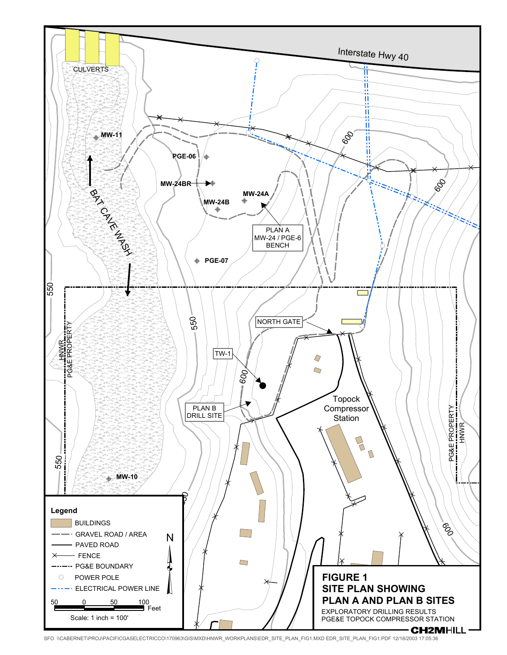

SFO \\CABERNET\PROJ\PACIFICGASELECTRICCO\170963\GIS\MXD\HNWR\_WORKPLANS\EDR\_SITE\_PLAN\_FIG1.MXD EDR\_SITE\_PLAN\_FIG1.PDF 12/18/2003 17:05:36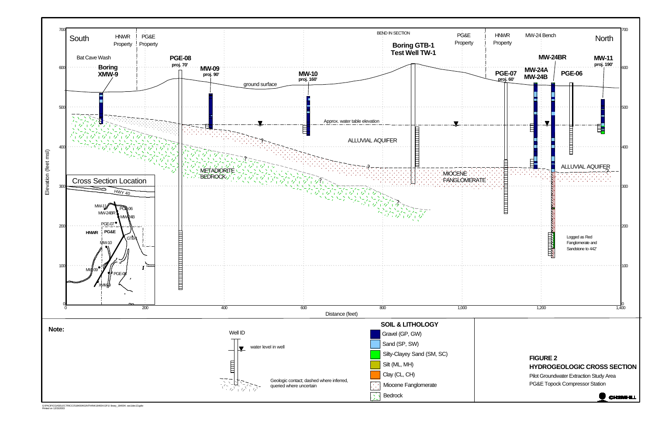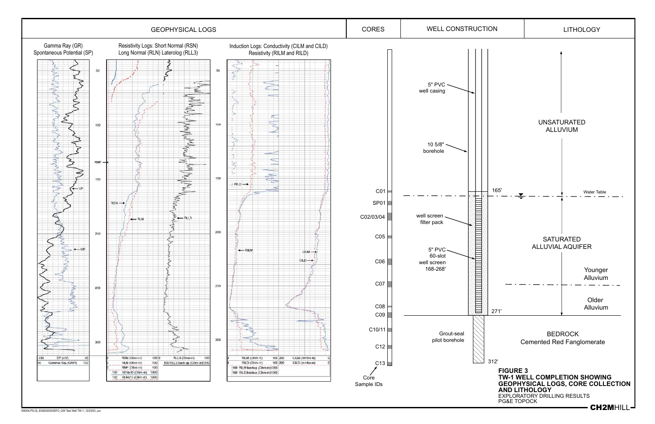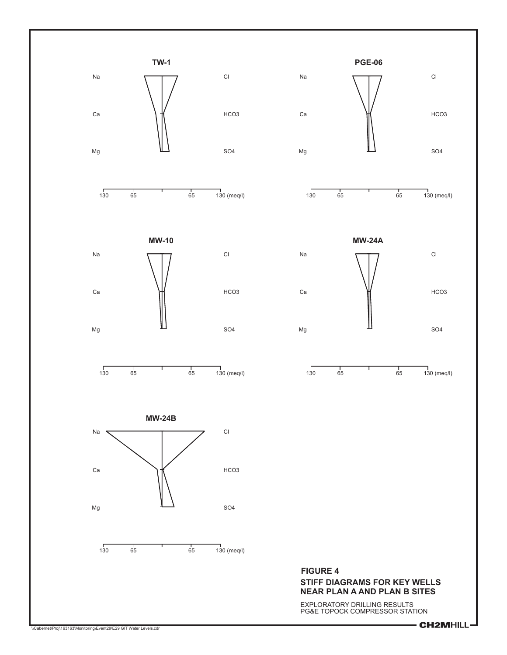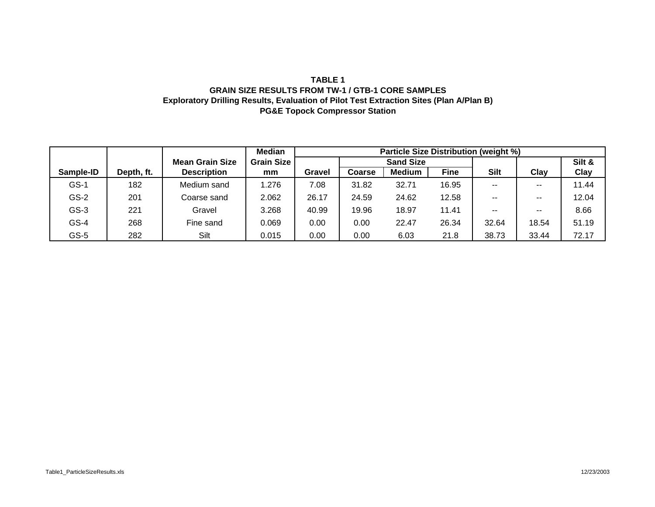#### **TABLE 1 GRAIN SIZE RESULTS FROM TW-1 / GTB-1 CORE SAMPLES Exploratory Drilling Results, Evaluation of Pilot Test Extraction Sites (Plan A/Plan B) PG&E Topock Compressor Station**

|             |            |                        | Median            | <b>Particle Size Distribution (weight %)</b> |                                 |                  |       |             |       |        |
|-------------|------------|------------------------|-------------------|----------------------------------------------|---------------------------------|------------------|-------|-------------|-------|--------|
|             |            | <b>Mean Grain Size</b> | <b>Grain Size</b> |                                              |                                 | <b>Sand Size</b> |       |             |       | Silt & |
| Sample-ID   | Depth, ft. | <b>Description</b>     | mm                | Gravel                                       | <b>Medium</b><br>Fine<br>Coarse |                  |       | <b>Silt</b> | Clay  | Clay   |
| <b>GS-1</b> | 182        | Medium sand            | 1.276             | 7.08                                         | 31.82                           | 32.71            | 16.95 | $- -$       | $- -$ | 11.44  |
| $GS-2$      | 201        | Coarse sand            | 2.062             | 26.17                                        | 24.59                           | 24.62            | 12.58 | $- -$       | $- -$ | 12.04  |
| $GS-3$      | 221        | Gravel                 | 3.268             | 40.99                                        | 19.96                           | 18.97            | 11.41 | $- -$       | --    | 8.66   |
| GS-4        | 268        | Fine sand              | 0.069             | 0.00                                         | 0.00                            | 22.47            | 26.34 | 32.64       | 18.54 | 51.19  |
| <b>GS-5</b> | 282        | Silt                   | 0.015             | 0.00                                         | 0.00                            | 6.03             | 21.8  | 38.73       | 33.44 | 72.17  |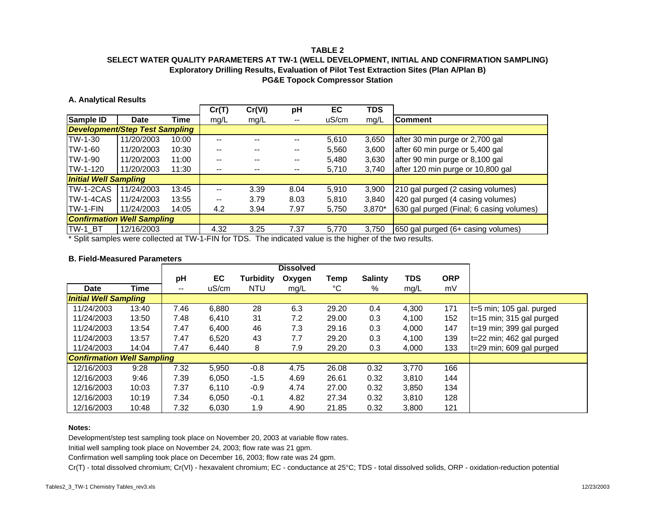#### **TABLE 2 SELECT WATER QUALITY PARAMETERS AT TW-1 (WELL DEVELOPMENT, INITIAL AND CONFIRMATION SAMPLING) Exploratory Drilling Results, Evaluation of Pilot Test Extraction Sites (Plan A/Plan B) PG&E Topock Compressor Station**

#### **Cr(T) Cr(VI) pH EC TDS Sample ID Date Time** mg/L mg/L -- uS/cm mg/L **Comment** *Development/Step Test Sampling* TW-1-30 11/20/2003 10:00 -- -- -- 5,610 3,650 after 30 min purge or 2,700 gal TW-1-60 11/20/2003 10:30 -- -- -- 5,560 3,600 after 60 min purge or 5,400 gal TW-1-90  $\vert$  11/20/2003 11:00  $\vert$  -- - - - - 5.480 3.630 after 90 min purge or 8,100 gal TW-1-120 11/20/2003 11:30 -- -- -- 5,710 3,740 after 120 min purge or 10,800 gal *Initial Well Sampling* TW-1-2CAS 11/24/2003 13:45 -- 3.39 8.04 5,910 3,900 210 gal purged (2 casing volumes)  $TW-1-4CAS$   $\vert$  11/24/2003 13:55  $\vert$  -- 3.79 8.03 5,810 3,840 420 gal purged (4 casing volumes) TW-1-FIN 11/24/2003 14:05 4.2 3.94 7.97 5,750 3,870\* 630 gal purged (Final; 6 casing volumes) *Confirmation Well Sampling* TW-1\_BT 12/16/2003 4.32 3.25 7.37 5,770 3,750 650 gal purged (6+ casing volumes)

#### **A. Analytical Results**

\* Split samples were collected at TW-1-FIN for TDS. The indicated value is the higher of the two results.

#### **B. Field-Measured Parameters**

|                                   |       |                          |       |                  | <b>Dissolved</b> |       |                |            |            |                              |
|-----------------------------------|-------|--------------------------|-------|------------------|------------------|-------|----------------|------------|------------|------------------------------|
|                                   |       | pH                       | EC    | <b>Turbidity</b> | Oxygen           | Temp  | <b>Salinty</b> | <b>TDS</b> | <b>ORP</b> |                              |
| <b>Date</b>                       | Time  | $\overline{\phantom{m}}$ | uS/cm | <b>NTU</b>       | mg/L             | °C    | %              | mg/L       | mV         |                              |
| <b>Initial Well Sampling</b>      |       |                          |       |                  |                  |       |                |            |            |                              |
| 11/24/2003                        | 13:40 | 7.46                     | 6,880 | 28               | 6.3              | 29.20 | 0.4            | 4,300      | 171        | t=5 min; 105 gal. purged     |
| 11/24/2003                        | 13:50 | 7.48                     | 6.410 | 31               | 7.2              | 29.00 | 0.3            | 4,100      | 152        | $t = 15$ min; 315 gal purged |
| 11/24/2003                        | 13:54 | 7.47                     | 6.400 | 46               | 7.3              | 29.16 | 0.3            | 4.000      | 147        | t=19 min; 399 gal purged     |
| 11/24/2003                        | 13:57 | 7.47                     | 6,520 | 43               | 7.7              | 29.20 | 0.3            | 4,100      | 139        | t=22 min; 462 gal purged     |
| 11/24/2003                        | 14:04 | 7.47                     | 6.440 | 8                | 7.9              | 29.20 | 0.3            | 4,000      | 133        | t=29 min; 609 gal purged     |
| <b>Confirmation Well Sampling</b> |       |                          |       |                  |                  |       |                |            |            |                              |
| 12/16/2003                        | 9:28  | 7.32                     | 5.950 | $-0.8$           | 4.75             | 26.08 | 0.32           | 3.770      | 166        |                              |
| 12/16/2003                        | 9:46  | 7.39                     | 6.050 | $-1.5$           | 4.69             | 26.61 | 0.32           | 3.810      | 144        |                              |
| 12/16/2003                        | 10:03 | 7.37                     | 6.110 | $-0.9$           | 4.74             | 27.00 | 0.32           | 3.850      | 134        |                              |
| 12/16/2003                        | 10:19 | 7.34                     | 6.050 | $-0.1$           | 4.82             | 27.34 | 0.32           | 3,810      | 128        |                              |
| 12/16/2003                        | 10:48 | 7.32                     | 6.030 | 1.9              | 4.90             | 21.85 | 0.32           | 3.800      | 121        |                              |

#### **Notes:**

Development/step test sampling took place on November 20, 2003 at variable flow rates.

Initial well sampling took place on November 24, 2003; flow rate was 21 gpm.

Confirmation well sampling took place on December 16, 2003; flow rate was 24 gpm.

Cr(T) - total dissolved chromium; Cr(VI) - hexavalent chromium; EC - conductance at 25°C; TDS - total dissolved solids, ORP - oxidation-reduction potential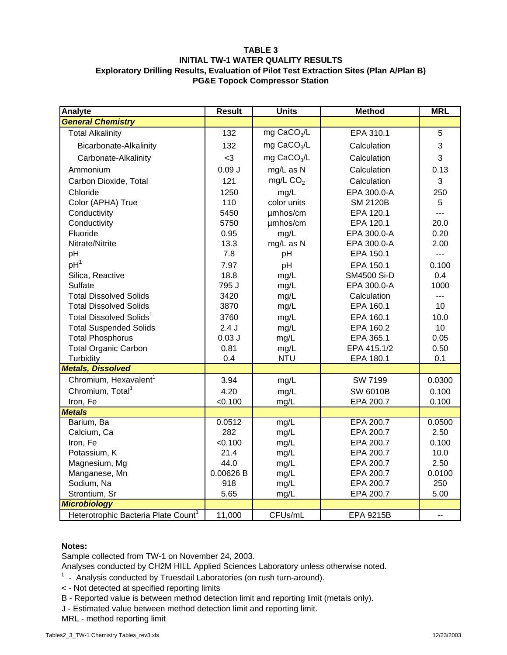#### **TABLE 3 INITIAL TW-1 WATER QUALITY RESULTS Exploratory Drilling Results, Evaluation of Pilot Test Extraction Sites (Plan A/Plan B) PG&E Topock Compressor Station**

| Analyte                                         | <b>Result</b> | <b>Units</b>            | <b>Method</b>      | <b>MRL</b>               |
|-------------------------------------------------|---------------|-------------------------|--------------------|--------------------------|
| <b>General Chemistry</b>                        |               |                         |                    |                          |
| <b>Total Alkalinity</b>                         | 132           | mg $CaCO3/L$            | EPA 310.1          | 5                        |
| <b>Bicarbonate-Alkalinity</b>                   | 132           | mg CaCO <sub>3</sub> /L | Calculation        | 3                        |
| Carbonate-Alkalinity                            | $3$           | mg CaCO <sub>3</sub> /L | Calculation        | 3                        |
| Ammonium                                        | 0.09J         | mg/L as N               | Calculation        | 0.13                     |
| Carbon Dioxide, Total                           | 121           | mg/L $CO2$              | Calculation        | 3                        |
| Chloride                                        | 1250          | mg/L                    | EPA 300.0-A        | 250                      |
| Color (APHA) True                               | 110           | color units             | <b>SM 2120B</b>    | 5                        |
| Conductivity                                    | 5450          | umhos/cm                | EPA 120.1          | $\overline{a}$           |
| Conductivity                                    | 5750          | umhos/cm                | EPA 120.1          | 20.0                     |
| Fluoride                                        | 0.95          | mg/L                    | EPA 300.0-A        | 0.20                     |
| Nitrate/Nitrite                                 | 13.3          | mg/L as N               | EPA 300.0-A        | 2.00                     |
| pH                                              | 7.8           | pH                      | EPA 150.1          | $---$                    |
| pH <sup>1</sup>                                 | 7.97          | pH                      | EPA 150.1          | 0.100                    |
| Silica, Reactive                                | 18.8          | mg/L                    | <b>SM4500 Si-D</b> | 0.4                      |
| Sulfate                                         | 795 J         | mg/L                    | EPA 300.0-A        | 1000                     |
| <b>Total Dissolved Solids</b>                   | 3420          | mg/L                    | Calculation        | ---                      |
| <b>Total Dissolved Solids</b>                   | 3870          | mg/L                    | EPA 160.1          | 10                       |
| Total Dissolved Solids <sup>1</sup>             | 3760          | mg/L                    | EPA 160.1          | 10.0                     |
| <b>Total Suspended Solids</b>                   | 2.4J          | mg/L                    | EPA 160.2          | 10                       |
| <b>Total Phosphorus</b>                         | $0.03$ J      | mg/L                    | EPA 365.1          | 0.05                     |
| <b>Total Organic Carbon</b>                     | 0.81          | mg/L                    | EPA 415.1/2        | 0.50                     |
| Turbidity                                       | 0.4           | <b>NTU</b>              | EPA 180.1          | 0.1                      |
| <b>Metals, Dissolved</b>                        |               |                         |                    |                          |
| Chromium, Hexavalent <sup>1</sup>               | 3.94          | mg/L                    | SW 7199            | 0.0300                   |
| Chromium, Total <sup>1</sup>                    | 4.20          | mg/L                    | <b>SW 6010B</b>    | 0.100                    |
| Iron, Fe                                        | < 0.100       | mg/L                    | EPA 200.7          | 0.100                    |
| <b>Metals</b>                                   |               |                         |                    |                          |
| Barium, Ba                                      | 0.0512        | mg/L                    | EPA 200.7          | 0.0500                   |
| Calcium, Ca                                     | 282           | mg/L                    | EPA 200.7          | 2.50                     |
| Iron, Fe                                        | < 0.100       | mg/L                    | EPA 200.7          | 0.100                    |
| Potassium, K                                    | 21.4          | mg/L                    | EPA 200.7          | 10.0                     |
| Magnesium, Mg                                   | 44.0          | mg/L                    | EPA 200.7          | 2.50                     |
| Manganese, Mn                                   | 0.00626 B     | mg/L                    | EPA 200.7          | 0.0100                   |
| Sodium, Na                                      | 918           | mg/L                    | EPA 200.7          | 250                      |
| Strontium, Sr                                   | 5.65          | mg/L                    | EPA 200.7          | 5.00                     |
| <b>Microbiology</b>                             |               |                         |                    |                          |
| Heterotrophic Bacteria Plate Count <sup>1</sup> | 11,000        | CFUs/mL                 | EPA 9215B          | $\overline{\phantom{a}}$ |

#### **Notes:**

Sample collected from TW-1 on November 24, 2003.

Analyses conducted by CH2M HILL Applied Sciences Laboratory unless otherwise noted.

- <sup>1</sup> Analysis conducted by Truesdail Laboratories (on rush turn-around).
- < Not detected at specified reporting limits
- B Reported value is between method detection limit and reporting limit (metals only).
- J Estimated value between method detection limit and reporting limit.
- MRL method reporting limit